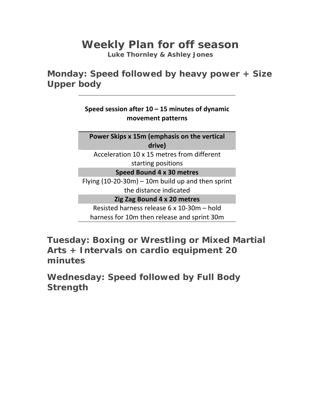## **Weekly Plan for off season**

**Luke Thornley & Ashley Jones** 

**Monday: Speed followed by heavy power + Size Upper body** 

> **Speed session after 10 – 15 minutes of dynamic movement patterns**

**Power Skips x 15m (emphasis on the vertical drive)**

Acceleration 10 x 15 metres from different starting positions

**Speed Bound 4 x 30 metres**

Flying  $(10-20-30m) - 10m$  build up and then sprint the distance indicated

**Zig Zag Bound 4 x 20 metres**

Resisted harness release 6 x 10‐30m – hold harness for 10m then release and sprint 30m

**Tuesday: Boxing or Wrestling or Mixed Martial Arts + Intervals on cardio equipment 20 minutes** 

**Wednesday: Speed followed by Full Body Strength**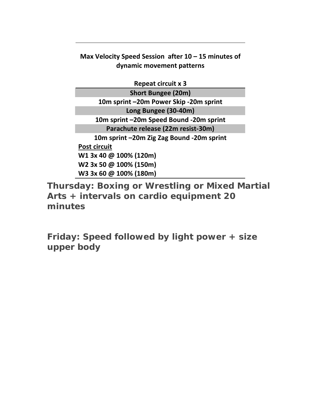**Max Velocity Speed Session after 10 – 15 minutes of dynamic movement patterns**

**Repeat circuit x 3 Short Bungee (20m) 10m sprint –20m Power Skip ‐20m sprint Long Bungee (30‐40m) 10m sprint –20m Speed Bound ‐20m sprint Parachute release (22m resist‐30m) 10m sprint –20m Zig Zag Bound ‐20m sprint Post circuit W1 3x 40 @ 100% (120m) W2 3x 50 @ 100% (150m) W3 3x 60 @ 100% (180m)**

**Thursday: Boxing or Wrestling or Mixed Martial Arts + intervals on cardio equipment 20 minutes** 

**Friday: Speed followed by light power + size upper body**